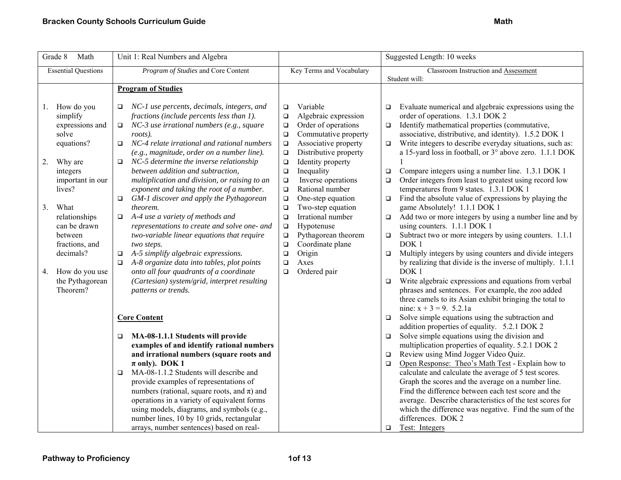| Grade 8<br>Math                                                                                                                                                                                                                                                                   | Unit 1: Real Numbers and Algebra                                                                                                                                                                                                                                                                                                                                                                                                                                                                                                                                                                                                                                                                                                                                                                                                                                                                                                                                                                                                                                                                 |                                                                                                                                                                                                                                                                                                                                                                                                                                                                                                                                                                      | Suggested Length: 10 weeks                                                                                                                                                                                                                                                                                                                                                                                                                                                                                                                                                                                                                                                                                                                                                                                                                                                                                                                                                                                                                                                                                                                                                                                                                                                                                                                                                                                                                                                                                                                                                     |
|-----------------------------------------------------------------------------------------------------------------------------------------------------------------------------------------------------------------------------------------------------------------------------------|--------------------------------------------------------------------------------------------------------------------------------------------------------------------------------------------------------------------------------------------------------------------------------------------------------------------------------------------------------------------------------------------------------------------------------------------------------------------------------------------------------------------------------------------------------------------------------------------------------------------------------------------------------------------------------------------------------------------------------------------------------------------------------------------------------------------------------------------------------------------------------------------------------------------------------------------------------------------------------------------------------------------------------------------------------------------------------------------------|----------------------------------------------------------------------------------------------------------------------------------------------------------------------------------------------------------------------------------------------------------------------------------------------------------------------------------------------------------------------------------------------------------------------------------------------------------------------------------------------------------------------------------------------------------------------|--------------------------------------------------------------------------------------------------------------------------------------------------------------------------------------------------------------------------------------------------------------------------------------------------------------------------------------------------------------------------------------------------------------------------------------------------------------------------------------------------------------------------------------------------------------------------------------------------------------------------------------------------------------------------------------------------------------------------------------------------------------------------------------------------------------------------------------------------------------------------------------------------------------------------------------------------------------------------------------------------------------------------------------------------------------------------------------------------------------------------------------------------------------------------------------------------------------------------------------------------------------------------------------------------------------------------------------------------------------------------------------------------------------------------------------------------------------------------------------------------------------------------------------------------------------------------------|
| <b>Essential Questions</b>                                                                                                                                                                                                                                                        | Program of Studies and Core Content                                                                                                                                                                                                                                                                                                                                                                                                                                                                                                                                                                                                                                                                                                                                                                                                                                                                                                                                                                                                                                                              | Key Terms and Vocabulary                                                                                                                                                                                                                                                                                                                                                                                                                                                                                                                                             | Classroom Instruction and Assessment                                                                                                                                                                                                                                                                                                                                                                                                                                                                                                                                                                                                                                                                                                                                                                                                                                                                                                                                                                                                                                                                                                                                                                                                                                                                                                                                                                                                                                                                                                                                           |
|                                                                                                                                                                                                                                                                                   | <b>Program of Studies</b>                                                                                                                                                                                                                                                                                                                                                                                                                                                                                                                                                                                                                                                                                                                                                                                                                                                                                                                                                                                                                                                                        |                                                                                                                                                                                                                                                                                                                                                                                                                                                                                                                                                                      |                                                                                                                                                                                                                                                                                                                                                                                                                                                                                                                                                                                                                                                                                                                                                                                                                                                                                                                                                                                                                                                                                                                                                                                                                                                                                                                                                                                                                                                                                                                                                                                |
| How do you<br>1.<br>simplify<br>expressions and<br>solve<br>equations?<br>2.<br>Why are<br>integers<br>important in our<br>lives?<br>3.<br>What<br>relationships<br>can be drawn<br>between<br>fractions, and<br>decimals?<br>How do you use<br>4.<br>the Pythagorean<br>Theorem? | NC-1 use percents, decimals, integers, and<br>$\Box$<br>fractions (include percents less than 1).<br>NC-3 use irrational numbers (e.g., square<br>$\Box$<br>roots).<br>NC-4 relate irrational and rational numbers<br>$\Box$<br>(e.g., magnitude, order on a number line).<br>NC-5 determine the inverse relationship<br>$\Box$<br>between addition and subtraction,<br>multiplication and division, or raising to an<br>exponent and taking the root of a number.<br>GM-1 discover and apply the Pythagorean<br>□<br>theorem.<br>$\Box$ A-4 use a variety of methods and<br>representations to create and solve one- and<br>two-variable linear equations that require<br>two steps.<br>A-5 simplify algebraic expressions.<br>$\Box$<br>A-8 organize data into tables, plot points<br>$\Box$<br>onto all four quadrants of a coordinate<br>(Cartesian) system/grid, interpret resulting<br>patterns or trends.<br><b>Core Content</b><br>MA-08-1.1.1 Students will provide<br>□<br>examples of and identify rational numbers<br>and irrational numbers (square roots and<br>$\pi$ only). DOK 1 | Variable<br>$\Box$<br>Algebraic expression<br>$\Box$<br>Order of operations<br>$\Box$<br>Commutative property<br>$\Box$<br>Associative property<br>$\Box$<br>Distributive property<br>$\Box$<br>Identity property<br>$\Box$<br>Inequality<br>$\Box$<br>Inverse operations<br>$\Box$<br>Rational number<br>$\Box$<br>One-step equation<br>$\Box$<br>Two-step equation<br>$\Box$<br>Irrational number<br>$\Box$<br>Hypotenuse<br>$\Box$<br>Pythagorean theorem<br>$\Box$<br>Coordinate plane<br>$\Box$<br>Origin<br>$\Box$<br>$\Box$<br>Axes<br>Ordered pair<br>$\Box$ | Student will:<br>Evaluate numerical and algebraic expressions using the<br>$\Box$<br>order of operations. 1.3.1 DOK 2<br>Identify mathematical properties (commutative,<br>$\Box$<br>associative, distributive, and identity). 1.5.2 DOK 1<br>Write integers to describe everyday situations, such as:<br>$\Box$<br>a 15-yard loss in football, or 3° above zero. 1.1.1 DOK<br>Compare integers using a number line. 1.3.1 DOK 1<br>$\Box$<br>Order integers from least to greatest using record low<br>$\Box$<br>temperatures from 9 states. 1.3.1 DOK 1<br>Find the absolute value of expressions by playing the<br>$\Box$<br>game Absolutely! 1.1.1 DOK 1<br>Add two or more integers by using a number line and by<br>$\Box$<br>using counters. 1.1.1 DOK 1<br>Subtract two or more integers by using counters. 1.1.1<br>$\Box$<br>DOK <sub>1</sub><br>Multiply integers by using counters and divide integers<br>$\Box$<br>by realizing that divide is the inverse of multiply. 1.1.1<br>DOK <sub>1</sub><br>Write algebraic expressions and equations from verbal<br>$\Box$<br>phrases and sentences. For example, the zoo added<br>three camels to its Asian exhibit bringing the total to<br>nine: $x + 3 = 9$ . 5.2.1a<br>Solve simple equations using the subtraction and<br>$\Box$<br>addition properties of equality. 5.2.1 DOK 2<br>Solve simple equations using the division and<br>$\Box$<br>multiplication properties of equality. 5.2.1 DOK 2<br>Review using Mind Jogger Video Quiz.<br>$\Box$<br>Open Response: Theo's Math Test - Explain how to<br>$\Box$ |
|                                                                                                                                                                                                                                                                                   | MA-08-1.1.2 Students will describe and<br>$\Box$<br>provide examples of representations of<br>numbers (rational, square roots, and $\pi$ ) and                                                                                                                                                                                                                                                                                                                                                                                                                                                                                                                                                                                                                                                                                                                                                                                                                                                                                                                                                   |                                                                                                                                                                                                                                                                                                                                                                                                                                                                                                                                                                      | calculate and calculate the average of 5 test scores.<br>Graph the scores and the average on a number line.<br>Find the difference between each test score and the                                                                                                                                                                                                                                                                                                                                                                                                                                                                                                                                                                                                                                                                                                                                                                                                                                                                                                                                                                                                                                                                                                                                                                                                                                                                                                                                                                                                             |
|                                                                                                                                                                                                                                                                                   | operations in a variety of equivalent forms<br>using models, diagrams, and symbols (e.g.,<br>number lines, 10 by 10 grids, rectangular<br>arrays, number sentences) based on real-                                                                                                                                                                                                                                                                                                                                                                                                                                                                                                                                                                                                                                                                                                                                                                                                                                                                                                               |                                                                                                                                                                                                                                                                                                                                                                                                                                                                                                                                                                      | average. Describe characteristics of the test scores for<br>which the difference was negative. Find the sum of the<br>differences. DOK 2<br>Test: Integers<br>$\Box$                                                                                                                                                                                                                                                                                                                                                                                                                                                                                                                                                                                                                                                                                                                                                                                                                                                                                                                                                                                                                                                                                                                                                                                                                                                                                                                                                                                                           |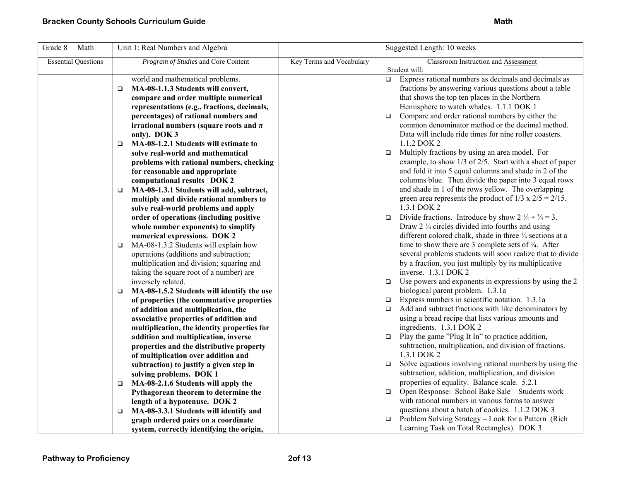| Grade 8<br>Math            | Unit 1: Real Numbers and Algebra                                                     |                          | Suggested Length: 10 weeks                                                                                                    |
|----------------------------|--------------------------------------------------------------------------------------|--------------------------|-------------------------------------------------------------------------------------------------------------------------------|
| <b>Essential Questions</b> | Program of Studies and Core Content                                                  | Key Terms and Vocabulary | Classroom Instruction and Assessment                                                                                          |
|                            |                                                                                      |                          | Student will:                                                                                                                 |
|                            | world and mathematical problems.                                                     |                          | $\Box$ Express rational numbers as decimals and decimals as                                                                   |
|                            | MA-08-1.1.3 Students will convert,<br>$\Box$                                         |                          | fractions by answering various questions about a table                                                                        |
|                            | compare and order multiple numerical                                                 |                          | that shows the top ten places in the Northern                                                                                 |
|                            | representations (e.g., fractions, decimals,                                          |                          | Hemisphere to watch whales. 1.1.1 DOK 1                                                                                       |
|                            | percentages) of rational numbers and                                                 |                          | Compare and order rational numbers by either the<br>$\Box$                                                                    |
|                            | irrational numbers (square roots and $\pi$                                           |                          | common denominator method or the decimal method.                                                                              |
|                            | only). DOK 3                                                                         |                          | Data will include ride times for nine roller coasters.                                                                        |
|                            | MA-08-1.2.1 Students will estimate to<br>$\Box$                                      |                          | 1.1.2 DOK 2                                                                                                                   |
|                            | solve real-world and mathematical                                                    |                          | Multiply fractions by using an area model. For<br>$\Box$                                                                      |
|                            | problems with rational numbers, checking                                             |                          | example, to show 1/3 of 2/5. Start with a sheet of paper                                                                      |
|                            | for reasonable and appropriate                                                       |                          | and fold it into 5 equal columns and shade in 2 of the                                                                        |
|                            | computational results DOK 2                                                          |                          | columns blue. Then divide the paper into 3 equal rows                                                                         |
|                            | MA-08-1.3.1 Students will add, subtract,<br>$\Box$                                   |                          | and shade in 1 of the rows yellow. The overlapping                                                                            |
|                            | multiply and divide rational numbers to                                              |                          | green area represents the product of $1/3 \times 2/5 = 2/15$ .                                                                |
|                            | solve real-world problems and apply                                                  |                          | 1.3.1 DOK 2                                                                                                                   |
|                            | order of operations (including positive                                              |                          | Divide fractions. Introduce by show $2 \frac{1}{4} \div \frac{3}{4} = 3$ .<br>$\Box$                                          |
|                            | whole number exponents) to simplify                                                  |                          | Draw $2\frac{1}{4}$ circles divided into fourths and using                                                                    |
|                            | numerical expressions. DOK 2                                                         |                          | different colored chalk, shade in three 1/4 sections at a                                                                     |
|                            | MA-08-1.3.2 Students will explain how<br>$\Box$                                      |                          | time to show there are 3 complete sets of $\frac{3}{4}$ . After<br>several problems students will soon realize that to divide |
|                            | operations (additions and subtraction;                                               |                          | by a fraction, you just multiply by its multiplicative                                                                        |
|                            | multiplication and division; squaring and<br>taking the square root of a number) are |                          | inverse. 1.3.1 DOK 2                                                                                                          |
|                            | inversely related.                                                                   |                          | $\Box$ Use powers and exponents in expressions by using the 2                                                                 |
|                            | MA-08-1.5.2 Students will identify the use<br>$\Box$                                 |                          | biological parent problem. 1.3.1a                                                                                             |
|                            | of properties (the commutative properties                                            |                          | Express numbers in scientific notation. 1.3.1a<br>$\Box$                                                                      |
|                            | of addition and multiplication, the                                                  |                          | Add and subtract fractions with like denominators by<br>$\Box$                                                                |
|                            | associative properties of addition and                                               |                          | using a bread recipe that lists various amounts and                                                                           |
|                            | multiplication, the identity properties for                                          |                          | ingredients. 1.3.1 DOK 2                                                                                                      |
|                            | addition and multiplication, inverse                                                 |                          | $\Box$ Play the game "Plug It In" to practice addition,                                                                       |
|                            | properties and the distributive property                                             |                          | subtraction, multiplication, and division of fractions.                                                                       |
|                            | of multiplication over addition and                                                  |                          | 1.3.1 DOK 2                                                                                                                   |
|                            | subtraction) to justify a given step in                                              |                          | Solve equations involving rational numbers by using the<br>$\Box$                                                             |
|                            | solving problems. DOK 1                                                              |                          | subtraction, addition, multiplication, and division                                                                           |
|                            | MA-08-2.1.6 Students will apply the<br>$\Box$                                        |                          | properties of equality. Balance scale. 5.2.1                                                                                  |
|                            | Pythagorean theorem to determine the                                                 |                          | Open Response: School Bake Sale - Students work<br>$\Box$                                                                     |
|                            | length of a hypotenuse. DOK 2                                                        |                          | with rational numbers in various forms to answer                                                                              |
|                            | MA-08-3.3.1 Students will identify and<br>$\Box$                                     |                          | questions about a batch of cookies. 1.1.2 DOK 3                                                                               |
|                            | graph ordered pairs on a coordinate                                                  |                          | $\Box$ Problem Solving Strategy – Look for a Pattern (Rich                                                                    |
|                            | system, correctly identifying the origin,                                            |                          | Learning Task on Total Rectangles). DOK 3                                                                                     |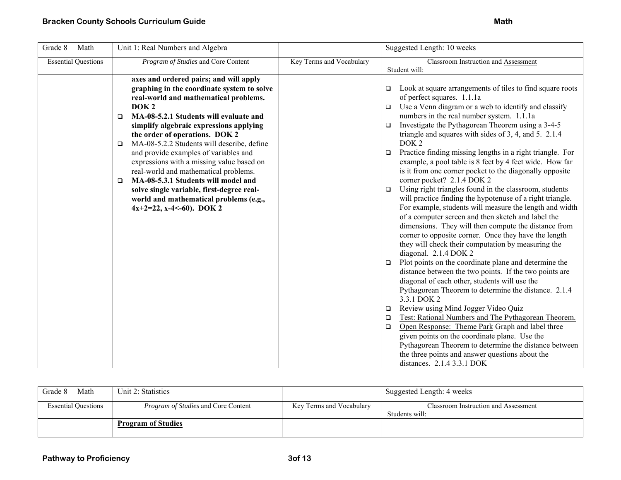| Grade 8<br>Math            | Unit 1: Real Numbers and Algebra                                                                                                                                                                                                                                                                                                                                                                                                                                                                                                                                                                                                              |                          | Suggested Length: 10 weeks                                                                                                                                                                                                                                                                                                                                                                                                                                                                                                                                                                                                                                                                                                                                                                                                                                                                                                                                                                                                                                                                                                                                                                                                                                                                                                                                                                                                                                                                                                                                                             |
|----------------------------|-----------------------------------------------------------------------------------------------------------------------------------------------------------------------------------------------------------------------------------------------------------------------------------------------------------------------------------------------------------------------------------------------------------------------------------------------------------------------------------------------------------------------------------------------------------------------------------------------------------------------------------------------|--------------------------|----------------------------------------------------------------------------------------------------------------------------------------------------------------------------------------------------------------------------------------------------------------------------------------------------------------------------------------------------------------------------------------------------------------------------------------------------------------------------------------------------------------------------------------------------------------------------------------------------------------------------------------------------------------------------------------------------------------------------------------------------------------------------------------------------------------------------------------------------------------------------------------------------------------------------------------------------------------------------------------------------------------------------------------------------------------------------------------------------------------------------------------------------------------------------------------------------------------------------------------------------------------------------------------------------------------------------------------------------------------------------------------------------------------------------------------------------------------------------------------------------------------------------------------------------------------------------------------|
| <b>Essential Questions</b> | Program of Studies and Core Content                                                                                                                                                                                                                                                                                                                                                                                                                                                                                                                                                                                                           | Key Terms and Vocabulary | Classroom Instruction and Assessment<br>Student will:                                                                                                                                                                                                                                                                                                                                                                                                                                                                                                                                                                                                                                                                                                                                                                                                                                                                                                                                                                                                                                                                                                                                                                                                                                                                                                                                                                                                                                                                                                                                  |
|                            | axes and ordered pairs; and will apply<br>graphing in the coordinate system to solve<br>real-world and mathematical problems.<br>DOK <sub>2</sub><br>MA-08-5.2.1 Students will evaluate and<br>$\Box$<br>simplify algebraic expressions applying<br>the order of operations. DOK 2<br>MA-08-5.2.2 Students will describe, define<br>$\Box$<br>and provide examples of variables and<br>expressions with a missing value based on<br>real-world and mathematical problems.<br>MA-08-5.3.1 Students will model and<br>□<br>solve single variable, first-degree real-<br>world and mathematical problems (e.g.,<br>$4x+2=22$ , x-4 <- 60). DOK 2 |                          | Look at square arrangements of tiles to find square roots<br>$\Box$<br>of perfect squares. 1.1.1a<br>Use a Venn diagram or a web to identify and classify<br>$\Box$<br>numbers in the real number system. 1.1.1a<br>Investigate the Pythagorean Theorem using a 3-4-5<br>$\Box$<br>triangle and squares with sides of 3, 4, and 5. 2.1.4<br>DOK <sub>2</sub><br>Practice finding missing lengths in a right triangle. For<br>$\Box$<br>example, a pool table is 8 feet by 4 feet wide. How far<br>is it from one corner pocket to the diagonally opposite<br>corner pocket? 2.1.4 DOK 2<br>Using right triangles found in the classroom, students<br>$\Box$<br>will practice finding the hypotenuse of a right triangle.<br>For example, students will measure the length and width<br>of a computer screen and then sketch and label the<br>dimensions. They will then compute the distance from<br>corner to opposite corner. Once they have the length<br>they will check their computation by measuring the<br>diagonal. 2.1.4 DOK 2<br>Plot points on the coordinate plane and determine the<br>$\Box$<br>distance between the two points. If the two points are<br>diagonal of each other, students will use the<br>Pythagorean Theorem to determine the distance. 2.1.4<br>3.3.1 DOK 2<br>Review using Mind Jogger Video Quiz<br>$\Box$<br>Test: Rational Numbers and The Pythagorean Theorem.<br>$\Box$<br>Open Response: Theme Park Graph and label three<br>$\Box$<br>given points on the coordinate plane. Use the<br>Pythagorean Theorem to determine the distance between |
|                            |                                                                                                                                                                                                                                                                                                                                                                                                                                                                                                                                                                                                                                               |                          | the three points and answer questions about the<br>distances. 2.1.4 3.3.1 DOK                                                                                                                                                                                                                                                                                                                                                                                                                                                                                                                                                                                                                                                                                                                                                                                                                                                                                                                                                                                                                                                                                                                                                                                                                                                                                                                                                                                                                                                                                                          |

| Math<br>Grade 8            | Unit 2: Statistics                         |                          | Suggested Length: 4 weeks                              |
|----------------------------|--------------------------------------------|--------------------------|--------------------------------------------------------|
| <b>Essential Questions</b> | <i>Program of Studies</i> and Core Content | Key Terms and Vocabulary | Classroom Instruction and Assessment<br>Students will: |
|                            | <b>Program of Studies</b>                  |                          |                                                        |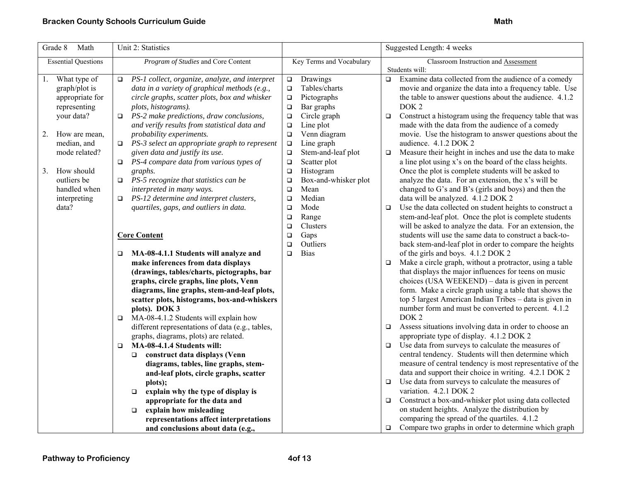| Grade $8$<br>Math                                                                                                                                                                                              | Unit 2: Statistics                                                                                                                                                                                                                                                                                                                                                                                                                                                                                                                                                                                     |                                                                                                                                                                                                                                                                                                                                                            | Suggested Length: 4 weeks                                                                                                                                                                                                                                                                                                                                                                                                                                                                                                                                                                                                                                                                                                                                                            |
|----------------------------------------------------------------------------------------------------------------------------------------------------------------------------------------------------------------|--------------------------------------------------------------------------------------------------------------------------------------------------------------------------------------------------------------------------------------------------------------------------------------------------------------------------------------------------------------------------------------------------------------------------------------------------------------------------------------------------------------------------------------------------------------------------------------------------------|------------------------------------------------------------------------------------------------------------------------------------------------------------------------------------------------------------------------------------------------------------------------------------------------------------------------------------------------------------|--------------------------------------------------------------------------------------------------------------------------------------------------------------------------------------------------------------------------------------------------------------------------------------------------------------------------------------------------------------------------------------------------------------------------------------------------------------------------------------------------------------------------------------------------------------------------------------------------------------------------------------------------------------------------------------------------------------------------------------------------------------------------------------|
| <b>Essential Questions</b>                                                                                                                                                                                     | Program of Studies and Core Content                                                                                                                                                                                                                                                                                                                                                                                                                                                                                                                                                                    | Key Terms and Vocabulary                                                                                                                                                                                                                                                                                                                                   | Classroom Instruction and Assessment                                                                                                                                                                                                                                                                                                                                                                                                                                                                                                                                                                                                                                                                                                                                                 |
| What type of<br>1.<br>graph/plot is<br>appropriate for<br>representing<br>your data?<br>How are mean,<br>2.<br>median, and<br>mode related?<br>How should<br>3.<br>outliers be<br>handled when<br>interpreting | PS-1 collect, organize, analyze, and interpret<br>$\Box$<br>data in a variety of graphical methods (e.g.,<br>circle graphs, scatter plots, box and whisker<br>plots, histograms).<br>PS-2 make predictions, draw conclusions,<br>O.<br>and verify results from statistical data and<br>probability experiments.<br>PS-3 select an appropriate graph to represent<br>$\Box$<br>given data and justify its use.<br>PS-4 compare data from various types of<br>□<br>graphs.<br>$\Box$ PS-5 recognize that statistics can be<br>interpreted in many ways.<br>PS-12 determine and interpret clusters,<br>O. | Drawings<br>$\Box$<br>Tables/charts<br>$\Box$<br>Pictographs<br>$\Box$<br>Bar graphs<br>$\Box$<br>Circle graph<br>$\Box$<br>Line plot<br>$\Box$<br>Venn diagram<br>$\Box$<br>Line graph<br>$\Box$<br>Stem-and-leaf plot<br>$\Box$<br>Scatter plot<br>$\Box$<br>Histogram<br>$\Box$<br>Box-and-whisker plot<br>$\Box$<br>Mean<br>$\Box$<br>Median<br>$\Box$ | Students will:<br>Examine data collected from the audience of a comedy<br>$\Box$<br>movie and organize the data into a frequency table. Use<br>the table to answer questions about the audience. 4.1.2<br>DOK <sub>2</sub><br>Construct a histogram using the frequency table that was<br>$\Box$<br>made with the data from the audience of a comedy<br>movie. Use the histogram to answer questions about the<br>audience. 4.1.2 DOK 2<br>Measure their height in inches and use the data to make<br>$\Box$<br>a line plot using x's on the board of the class heights.<br>Once the plot is complete students will be asked to<br>analyze the data. For an extension, the x's will be<br>changed to G's and B's (girls and boys) and then the<br>data will be analyzed. 4.1.2 DOK 2 |
| data?                                                                                                                                                                                                          | quartiles, gaps, and outliers in data.<br><b>Core Content</b><br>MA-08-4.1.1 Students will analyze and<br>□<br>make inferences from data displays<br>(drawings, tables/charts, pictographs, bar<br>graphs, circle graphs, line plots, Venn<br>diagrams, line graphs, stem-and-leaf plots,<br>scatter plots, histograms, box-and-whiskers<br>plots). DOK 3                                                                                                                                                                                                                                              | Mode<br>$\Box$<br>$\Box$<br>Range<br>Clusters<br>$\Box$<br>Gaps<br>$\Box$<br>Outliers<br>$\Box$<br><b>Bias</b><br>$\Box$                                                                                                                                                                                                                                   | Use the data collected on student heights to construct a<br>$\Box$<br>stem-and-leaf plot. Once the plot is complete students<br>will be asked to analyze the data. For an extension, the<br>students will use the same data to construct a back-to-<br>back stem-and-leaf plot in order to compare the heights<br>of the girls and boys. 4.1.2 DOK 2<br>Make a circle graph, without a protractor, using a table<br>$\Box$<br>that displays the major influences for teens on music<br>choices (USA WEEKEND) - data is given in percent<br>form. Make a circle graph using a table that shows the<br>top 5 largest American Indian Tribes - data is given in<br>number form and must be converted to percent. 4.1.2                                                                  |
|                                                                                                                                                                                                                | MA-08-4.1.2 Students will explain how<br>❏<br>different representations of data (e.g., tables,<br>graphs, diagrams, plots) are related.<br>MA-08-4.1.4 Students will:<br>$\Box$<br>construct data displays (Venn<br>diagrams, tables, line graphs, stem-<br>and-leaf plots, circle graphs, scatter<br>plots);<br>explain why the type of display is<br>$\Box$<br>appropriate for the data and<br>explain how misleading<br>$\Box$<br>representations affect interpretations<br>and conclusions about data (e.g.,                                                                                       |                                                                                                                                                                                                                                                                                                                                                            | DOK <sub>2</sub><br>Assess situations involving data in order to choose an<br>$\Box$<br>appropriate type of display. 4.1.2 DOK 2<br>Use data from surveys to calculate the measures of<br>$\Box$<br>central tendency. Students will then determine which<br>measure of central tendency is most representative of the<br>data and support their choice in writing. 4.2.1 DOK 2<br>Use data from surveys to calculate the measures of<br>$\Box$<br>variation. 4.2.1 DOK 2<br>Construct a box-and-whisker plot using data collected<br>$\Box$<br>on student heights. Analyze the distribution by<br>comparing the spread of the quartiles. 4.1.2<br>Compare two graphs in order to determine which graph<br>$\Box$                                                                     |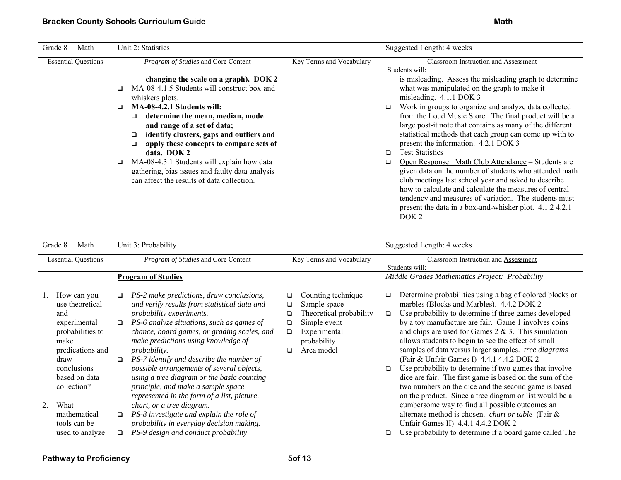| Grade 8<br>Math            | Unit 2: Statistics                                                                                                                                                                                                                                                                                                                                                                                                                                                                 |                          | Suggested Length: 4 weeks                                                                                                                                                                                                                                                                                                                                                                                                                                                                                                                                                                                                                                                                                                                                                                                                                          |
|----------------------------|------------------------------------------------------------------------------------------------------------------------------------------------------------------------------------------------------------------------------------------------------------------------------------------------------------------------------------------------------------------------------------------------------------------------------------------------------------------------------------|--------------------------|----------------------------------------------------------------------------------------------------------------------------------------------------------------------------------------------------------------------------------------------------------------------------------------------------------------------------------------------------------------------------------------------------------------------------------------------------------------------------------------------------------------------------------------------------------------------------------------------------------------------------------------------------------------------------------------------------------------------------------------------------------------------------------------------------------------------------------------------------|
| <b>Essential Questions</b> | Program of Studies and Core Content                                                                                                                                                                                                                                                                                                                                                                                                                                                | Key Terms and Vocabulary | Classroom Instruction and Assessment<br>Students will:                                                                                                                                                                                                                                                                                                                                                                                                                                                                                                                                                                                                                                                                                                                                                                                             |
|                            | changing the scale on a graph). DOK 2<br>MA-08-4.1.5 Students will construct box-and-<br>whiskers plots.<br>MA-08-4.2.1 Students will:<br>◻<br>determine the mean, median, mode<br>◻<br>and range of a set of data;<br>identify clusters, gaps and outliers and<br>apply these concepts to compare sets of<br>□<br>data. DOK 2<br>MA-08-4.3.1 Students will explain how data<br>□<br>gathering, bias issues and faulty data analysis<br>can affect the results of data collection. |                          | is misleading. Assess the misleading graph to determine<br>what was manipulated on the graph to make it<br>misleading. 4.1.1 DOK 3<br>Work in groups to organize and analyze data collected<br>$\Box$<br>from the Loud Music Store. The final product will be a<br>large post-it note that contains as many of the different<br>statistical methods that each group can come up with to<br>present the information. 4.2.1 DOK 3<br><b>Test Statistics</b><br>$\Box$<br>Open Response: Math Club Attendance – Students are<br>▫<br>given data on the number of students who attended math<br>club meetings last school year and asked to describe<br>how to calculate and calculate the measures of central<br>tendency and measures of variation. The students must<br>present the data in a box-and-whisker plot. 4.1.2 4.2.1<br>DOK <sub>2</sub> |

|    | Grade 8<br>Math                                                                                                                                              |                  | Unit 3: Probability                                                                                                                                                                                                                                                                                                                                                                                                                                                                                        |                                      |                                                                                                                            |                  | Suggested Length: 4 weeks                                                                                                                                                                                                                                                                                                                                                                                                                                                                                                                                                                                                                                                              |
|----|--------------------------------------------------------------------------------------------------------------------------------------------------------------|------------------|------------------------------------------------------------------------------------------------------------------------------------------------------------------------------------------------------------------------------------------------------------------------------------------------------------------------------------------------------------------------------------------------------------------------------------------------------------------------------------------------------------|--------------------------------------|----------------------------------------------------------------------------------------------------------------------------|------------------|----------------------------------------------------------------------------------------------------------------------------------------------------------------------------------------------------------------------------------------------------------------------------------------------------------------------------------------------------------------------------------------------------------------------------------------------------------------------------------------------------------------------------------------------------------------------------------------------------------------------------------------------------------------------------------------|
|    | <b>Essential Questions</b>                                                                                                                                   |                  | Program of Studies and Core Content                                                                                                                                                                                                                                                                                                                                                                                                                                                                        | Key Terms and Vocabulary             |                                                                                                                            |                  | Classroom Instruction and Assessment<br>Students will:                                                                                                                                                                                                                                                                                                                                                                                                                                                                                                                                                                                                                                 |
|    |                                                                                                                                                              |                  | <b>Program of Studies</b>                                                                                                                                                                                                                                                                                                                                                                                                                                                                                  |                                      |                                                                                                                            |                  | Middle Grades Mathematics Project: Probability                                                                                                                                                                                                                                                                                                                                                                                                                                                                                                                                                                                                                                         |
|    | How can you<br>use theoretical<br>and<br>experimental<br>probabilities to<br>make<br>predications and<br>draw<br>conclusions<br>based on data<br>collection? | $\Box$<br>$\Box$ | PS-2 make predictions, draw conclusions,<br>and verify results from statistical data and<br>probability experiments.<br>PS-6 analyze situations, such as games of<br>chance, board games, or grading scales, and<br>make predictions using knowledge of<br><i>probability.</i><br>PS-7 identify and describe the number of<br>possible arrangements of several objects,<br>using a tree diagram or the basic counting<br>principle, and make a sample space<br>represented in the form of a list, picture, | $\Box$<br>□<br>□<br>□<br>$\Box$<br>□ | Counting technique<br>Sample space<br>Theoretical probability<br>Simple event<br>Experimental<br>probability<br>Area model | □<br>$\Box$<br>□ | Determine probabilities using a bag of colored blocks or<br>marbles (Blocks and Marbles). 4.4.2 DOK 2<br>Use probability to determine if three games developed<br>by a toy manufacture are fair. Game 1 involves coins<br>and chips are used for Games $2 \& 3$ . This simulation<br>allows students to begin to see the effect of small<br>samples of data versus larger samples. tree diagrams<br>(Fair & Unfair Games I) 4.4.1 4.4.2 DOK 2<br>Use probability to determine if two games that involve<br>dice are fair. The first game is based on the sum of the<br>two numbers on the dice and the second game is based<br>on the product. Since a tree diagram or list would be a |
| 2. | What<br>mathematical                                                                                                                                         | □                | chart, or a tree diagram.<br>PS-8 investigate and explain the role of                                                                                                                                                                                                                                                                                                                                                                                                                                      |                                      |                                                                                                                            |                  | cumbersome way to find all possible outcomes an<br>alternate method is chosen. <i>chart or table</i> (Fair &                                                                                                                                                                                                                                                                                                                                                                                                                                                                                                                                                                           |
|    | tools can be                                                                                                                                                 |                  | probability in everyday decision making.                                                                                                                                                                                                                                                                                                                                                                                                                                                                   |                                      |                                                                                                                            |                  | Unfair Games II) 4.4.1 4.4.2 DOK 2                                                                                                                                                                                                                                                                                                                                                                                                                                                                                                                                                                                                                                                     |
|    | used to analyze                                                                                                                                              | $\Box$           | PS-9 design and conduct probability                                                                                                                                                                                                                                                                                                                                                                                                                                                                        |                                      |                                                                                                                            |                  | Use probability to determine if a board game called The                                                                                                                                                                                                                                                                                                                                                                                                                                                                                                                                                                                                                                |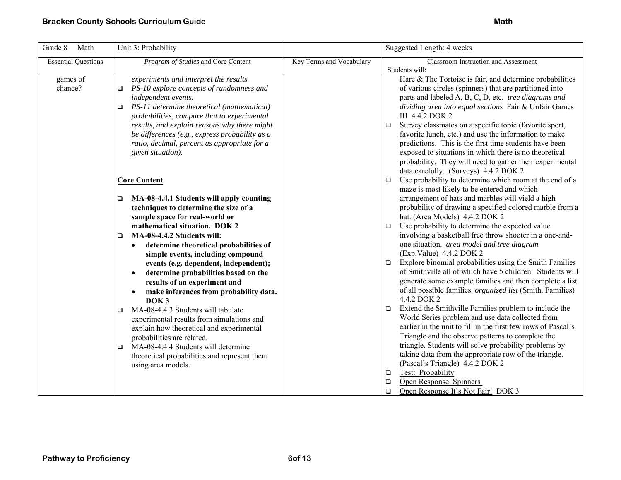| Grade 8<br>Math            | Unit 3: Probability                                                                                                                                                                                                                                                                                                                                                                                                                                                                                                                                                                                                                                                                                                                                                                  |                          | Suggested Length: 4 weeks                                                                                                                                                                                                                                                                                                                                                                                                                                                                                                                                                                                                                                                                                                                                                                                                                                                                                                                                                                                                                                                                                                                                                              |
|----------------------------|--------------------------------------------------------------------------------------------------------------------------------------------------------------------------------------------------------------------------------------------------------------------------------------------------------------------------------------------------------------------------------------------------------------------------------------------------------------------------------------------------------------------------------------------------------------------------------------------------------------------------------------------------------------------------------------------------------------------------------------------------------------------------------------|--------------------------|----------------------------------------------------------------------------------------------------------------------------------------------------------------------------------------------------------------------------------------------------------------------------------------------------------------------------------------------------------------------------------------------------------------------------------------------------------------------------------------------------------------------------------------------------------------------------------------------------------------------------------------------------------------------------------------------------------------------------------------------------------------------------------------------------------------------------------------------------------------------------------------------------------------------------------------------------------------------------------------------------------------------------------------------------------------------------------------------------------------------------------------------------------------------------------------|
| <b>Essential Questions</b> | Program of Studies and Core Content                                                                                                                                                                                                                                                                                                                                                                                                                                                                                                                                                                                                                                                                                                                                                  | Key Terms and Vocabulary | Classroom Instruction and Assessment<br>Students will:                                                                                                                                                                                                                                                                                                                                                                                                                                                                                                                                                                                                                                                                                                                                                                                                                                                                                                                                                                                                                                                                                                                                 |
| games of<br>chance?        | experiments and interpret the results.<br>PS-10 explore concepts of randomness and<br>$\Box$<br>independent events.<br>PS-11 determine theoretical (mathematical)<br>$\Box$<br>probabilities, compare that to experimental<br>results, and explain reasons why there might<br>be differences (e.g., express probability as a<br>ratio, decimal, percent as appropriate for a<br>given situation).                                                                                                                                                                                                                                                                                                                                                                                    |                          | Hare & The Tortoise is fair, and determine probabilities<br>of various circles (spinners) that are partitioned into<br>parts and labeled A, B, C, D, etc. tree diagrams and<br>dividing area into equal sections Fair & Unfair Games<br>III 4.4.2 DOK 2<br>Survey classmates on a specific topic (favorite sport,<br>$\Box$<br>favorite lunch, etc.) and use the information to make<br>predictions. This is the first time students have been<br>exposed to situations in which there is no theoretical<br>probability. They will need to gather their experimental<br>data carefully. (Surveys) 4.4.2 DOK 2                                                                                                                                                                                                                                                                                                                                                                                                                                                                                                                                                                          |
|                            | <b>Core Content</b><br>MA-08-4.4.1 Students will apply counting<br>□<br>techniques to determine the size of a<br>sample space for real-world or<br>mathematical situation. DOK 2<br>MA-08-4.4.2 Students will:<br>$\Box$<br>determine theoretical probabilities of<br>simple events, including compound<br>events (e.g. dependent, independent);<br>determine probabilities based on the<br>results of an experiment and<br>make inferences from probability data.<br>DOK <sub>3</sub><br>MA-08-4.4.3 Students will tabulate<br>$\Box$<br>experimental results from simulations and<br>explain how theoretical and experimental<br>probabilities are related.<br>MA-08-4.4.4 Students will determine<br>$\Box$<br>theoretical probabilities and represent them<br>using area models. |                          | Use probability to determine which room at the end of a<br>$\Box$<br>maze is most likely to be entered and which<br>arrangement of hats and marbles will yield a high<br>probability of drawing a specified colored marble from a<br>hat. (Area Models) 4.4.2 DOK 2<br>Use probability to determine the expected value<br>$\Box$<br>involving a basketball free throw shooter in a one-and-<br>one situation. area model and tree diagram<br>(Exp.Value) 4.4.2 DOK 2<br>Explore binomial probabilities using the Smith Families<br>$\Box$<br>of Smithville all of which have 5 children. Students will<br>generate some example families and then complete a list<br>of all possible families. <i>organized list</i> (Smith. Families)<br>4.4.2 DOK 2<br>Extend the Smithville Families problem to include the<br>$\Box$<br>World Series problem and use data collected from<br>earlier in the unit to fill in the first few rows of Pascal's<br>Triangle and the observe patterns to complete the<br>triangle. Students will solve probability problems by<br>taking data from the appropriate row of the triangle.<br>(Pascal's Triangle) 4.4.2 DOK 2<br>Test: Probability<br>$\Box$ |
|                            |                                                                                                                                                                                                                                                                                                                                                                                                                                                                                                                                                                                                                                                                                                                                                                                      |                          | Open Response Spinners<br>$\Box$<br>Open Response It's Not Fair! DOK 3<br>$\Box$                                                                                                                                                                                                                                                                                                                                                                                                                                                                                                                                                                                                                                                                                                                                                                                                                                                                                                                                                                                                                                                                                                       |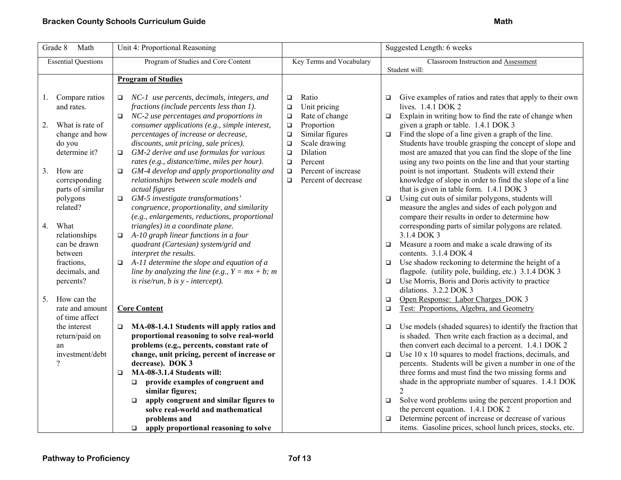| Grade 8<br>Math                                                                                                                                                            | Unit 4: Proportional Reasoning                                                                                                                                                                                                                                                                                                                                                                                                                                                                                                                               |                                                                                                                                                                                                                                                                    | Suggested Length: 6 weeks                                                                                                                                                                                                                                                                                                                                                                                                                                                                                                                                                                                                                                                                                                     |
|----------------------------------------------------------------------------------------------------------------------------------------------------------------------------|--------------------------------------------------------------------------------------------------------------------------------------------------------------------------------------------------------------------------------------------------------------------------------------------------------------------------------------------------------------------------------------------------------------------------------------------------------------------------------------------------------------------------------------------------------------|--------------------------------------------------------------------------------------------------------------------------------------------------------------------------------------------------------------------------------------------------------------------|-------------------------------------------------------------------------------------------------------------------------------------------------------------------------------------------------------------------------------------------------------------------------------------------------------------------------------------------------------------------------------------------------------------------------------------------------------------------------------------------------------------------------------------------------------------------------------------------------------------------------------------------------------------------------------------------------------------------------------|
| <b>Essential Questions</b>                                                                                                                                                 | Program of Studies and Core Content                                                                                                                                                                                                                                                                                                                                                                                                                                                                                                                          | Key Terms and Vocabulary                                                                                                                                                                                                                                           | Classroom Instruction and Assessment<br>Student will:                                                                                                                                                                                                                                                                                                                                                                                                                                                                                                                                                                                                                                                                         |
|                                                                                                                                                                            | <b>Program of Studies</b>                                                                                                                                                                                                                                                                                                                                                                                                                                                                                                                                    |                                                                                                                                                                                                                                                                    |                                                                                                                                                                                                                                                                                                                                                                                                                                                                                                                                                                                                                                                                                                                               |
| Compare ratios<br>1.<br>and rates.<br>2.<br>What is rate of<br>change and how<br>do you<br>determine it?<br>3.<br>How are<br>corresponding<br>parts of similar<br>polygons | $\Box$ NC-1 use percents, decimals, integers, and<br>fractions (include percents less than 1).<br>$\Box$ NC-2 use percentages and proportions in<br>consumer applications (e.g., simple interest,<br>percentages of increase or decrease,<br>discounts, unit pricing, sale prices).<br>GM-2 derive and use formulas for various<br>$\Box$<br>rates (e.g., distance/time, miles per hour).<br>GM-4 develop and apply proportionality and<br>$\Box$<br>relationships between scale models and<br>actual figures<br>GM-5 investigate transformations'<br>$\Box$ | Ratio<br>$\Box$<br>Unit pricing<br>$\Box$<br>Rate of change<br>$\Box$<br>Proportion<br>$\Box$<br>$\Box$<br>Similar figures<br>Scale drawing<br>$\Box$<br>Dilation<br>$\Box$<br>Percent<br>$\Box$<br>Percent of increase<br>$\Box$<br>Percent of decrease<br>$\Box$ | Give examples of ratios and rates that apply to their own<br>lives. 1.4.1 DOK 2<br>Explain in writing how to find the rate of change when<br>$\Box$<br>given a graph or table. 1.4.1 DOK 3<br>Find the slope of a line given a graph of the line.<br>$\Box$<br>Students have trouble grasping the concept of slope and<br>most are amazed that you can find the slope of the line<br>using any two points on the line and that your starting<br>point is not important. Students will extend their<br>knowledge of slope in order to find the slope of a line<br>that is given in table form. 1.4.1 DOK 3<br>Using cut outs of similar polygons, students will<br>$\Box$                                                      |
| related?<br>4.<br>What<br>relationships<br>can be drawn<br>between<br>fractions,<br>decimals, and<br>percents?<br>5.<br>How can the                                        | congruence, proportionality, and similarity<br>(e.g., enlargements, reductions, proportional<br>triangles) in a coordinate plane.<br>A-10 graph linear functions in a four<br>$\Box$<br>quadrant (Cartesian) system/grid and<br>interpret the results.<br>A-11 determine the slope and equation of a<br>$\Box$<br>line by analyzing the line (e.g., $Y = mx + b$ ; m<br>is rise/run, $b$ is $y$ - intercept).                                                                                                                                                |                                                                                                                                                                                                                                                                    | measure the angles and sides of each polygon and<br>compare their results in order to determine how<br>corresponding parts of similar polygons are related.<br>3.1.4 DOK 3<br>Measure a room and make a scale drawing of its<br>$\Box$<br>contents. 3.1.4 DOK 4<br>Use shadow reckoning to determine the height of a<br>$\Box$<br>flagpole. (utility pole, building, etc.) 3.1.4 DOK 3<br>Use Morris, Boris and Doris activity to practice<br>$\Box$<br>dilations. 3.2.2 DOK 3<br>Open Response: Labor Charges DOK 3<br>$\Box$                                                                                                                                                                                                |
| rate and amount<br>of time affect<br>the interest<br>return/paid on<br>an<br>investment/debt<br>$\gamma$                                                                   | <b>Core Content</b><br>MA-08-1.4.1 Students will apply ratios and<br>□<br>proportional reasoning to solve real-world<br>problems (e.g., percents, constant rate of<br>change, unit pricing, percent of increase or<br>decrease). DOK 3<br>MA-08-3.1.4 Students will:<br>$\Box$<br>provide examples of congruent and<br>$\Box$<br>similar figures;<br>apply congruent and similar figures to<br>$\Box$<br>solve real-world and mathematical<br>problems and<br>apply proportional reasoning to solve<br>$\Box$                                                |                                                                                                                                                                                                                                                                    | Test: Proportions, Algebra, and Geometry<br>$\Box$<br>Use models (shaded squares) to identify the fraction that<br>$\Box$<br>is shaded. Then write each fraction as a decimal, and<br>then convert each decimal to a percent. 1.4.1 DOK 2<br>Use 10 x 10 squares to model fractions, decimals, and<br>$\Box$<br>percents. Students will be given a number in one of the<br>three forms and must find the two missing forms and<br>shade in the appropriate number of squares. 1.4.1 DOK<br>Solve word problems using the percent proportion and<br>$\Box$<br>the percent equation. 1.4.1 DOK 2<br>Determine percent of increase or decrease of various<br>$\Box$<br>items. Gasoline prices, school lunch prices, stocks, etc. |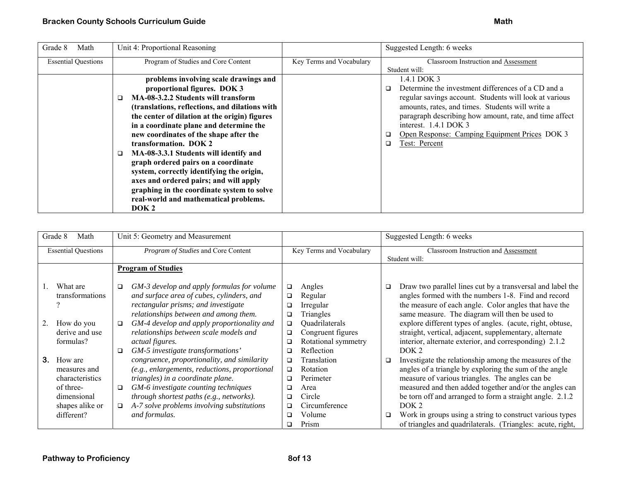| Grade 8<br>Math            | Unit 4: Proportional Reasoning                 |                          | Suggested Length: 6 weeks                                    |
|----------------------------|------------------------------------------------|--------------------------|--------------------------------------------------------------|
| <b>Essential Questions</b> | Program of Studies and Core Content            | Key Terms and Vocabulary | Classroom Instruction and Assessment                         |
|                            |                                                |                          | Student will:                                                |
|                            | problems involving scale drawings and          |                          | 1.4.1 DOK 3                                                  |
|                            | proportional figures. DOK 3                    |                          | Determine the investment differences of a CD and a<br>$\Box$ |
|                            | MA-08-3.2.2 Students will transform            |                          | regular savings account. Students will look at various       |
|                            | (translations, reflections, and dilations with |                          | amounts, rates, and times. Students will write a             |
|                            | the center of dilation at the origin) figures  |                          | paragraph describing how amount, rate, and time affect       |
|                            | in a coordinate plane and determine the        |                          | interest. $1.4.1$ DOK 3                                      |
|                            | new coordinates of the shape after the         |                          | Open Response: Camping Equipment Prices DOK 3                |
|                            | transformation. DOK 2                          |                          | Test: Percent<br>◻                                           |
|                            | MA-08-3.3.1 Students will identify and<br>□    |                          |                                                              |
|                            | graph ordered pairs on a coordinate            |                          |                                                              |
|                            | system, correctly identifying the origin,      |                          |                                                              |
|                            | axes and ordered pairs; and will apply         |                          |                                                              |
|                            | graphing in the coordinate system to solve     |                          |                                                              |
|                            | real-world and mathematical problems.          |                          |                                                              |
|                            | DOK <sub>2</sub>                               |                          |                                                              |

| Grade 8<br>Math                                                                                               | Unit 5: Geometry and Measurement                                                                                                                                                                                                                                                                                                              |                                                                                                                                                                                     | Suggested Length: 6 weeks                                                                                                                                                                                                                                                                                                                                                                                                                         |
|---------------------------------------------------------------------------------------------------------------|-----------------------------------------------------------------------------------------------------------------------------------------------------------------------------------------------------------------------------------------------------------------------------------------------------------------------------------------------|-------------------------------------------------------------------------------------------------------------------------------------------------------------------------------------|---------------------------------------------------------------------------------------------------------------------------------------------------------------------------------------------------------------------------------------------------------------------------------------------------------------------------------------------------------------------------------------------------------------------------------------------------|
| <b>Essential Questions</b>                                                                                    | Program of Studies and Core Content                                                                                                                                                                                                                                                                                                           | Key Terms and Vocabulary                                                                                                                                                            | Classroom Instruction and Assessment                                                                                                                                                                                                                                                                                                                                                                                                              |
|                                                                                                               |                                                                                                                                                                                                                                                                                                                                               |                                                                                                                                                                                     | Student will:                                                                                                                                                                                                                                                                                                                                                                                                                                     |
|                                                                                                               | <b>Program of Studies</b>                                                                                                                                                                                                                                                                                                                     |                                                                                                                                                                                     |                                                                                                                                                                                                                                                                                                                                                                                                                                                   |
| What are<br>transformations<br>How do you<br>derive and use<br>formulas?                                      | GM-3 develop and apply formulas for volume<br>□<br>and surface area of cubes, cylinders, and<br>rectangular prisms; and investigate<br>relationships between and among them.<br>GM-4 develop and apply proportionality and<br>□<br>relationships between scale models and<br><i>actual figures.</i><br>GM-5 investigate transformations'<br>□ | Angles<br>$\Box$<br>Regular<br>$\Box$<br>Irregular<br>◻<br>Triangles<br>□<br>Quadrilaterals<br>$\Box$<br>Congruent figures<br>$\Box$<br>Rotational symmetry<br>□<br>Reflection<br>□ | Draw two parallel lines cut by a transversal and label the<br>□<br>angles formed with the numbers 1-8. Find and record<br>the measure of each angle. Color angles that have the<br>same measure. The diagram will then be used to<br>explore different types of angles. (acute, right, obtuse,<br>straight, vertical, adjacent, supplementary, alternate<br>interior, alternate exterior, and corresponding) 2.1.2<br>DOK <sub>2</sub>            |
| 3.<br>How are<br>measures and<br>characteristics<br>of three-<br>dimensional<br>shapes alike or<br>different? | congruence, proportionality, and similarity<br>(e.g., enlargements, reductions, proportional<br>triangles) in a coordinate plane.<br>GM-6 investigate counting techniques<br>$\Box$<br>through shortest paths (e.g., networks).<br>A-7 solve problems involving substitutions<br>$\Box$<br>and formulas.                                      | Translation<br>□<br>Rotation<br>$\Box$<br>Perimeter<br>□<br>Area<br>□<br>Circle<br>□<br>Circumference<br>□<br>Volume<br>□<br>Prism<br>□                                             | Investigate the relationship among the measures of the<br>□<br>angles of a triangle by exploring the sum of the angle<br>measure of various triangles. The angles can be<br>measured and then added together and/or the angles can<br>be torn off and arranged to form a straight angle. 2.1.2<br>DOK <sub>2</sub><br>Work in groups using a string to construct various types<br>□<br>of triangles and quadrilaterals. (Triangles: acute, right, |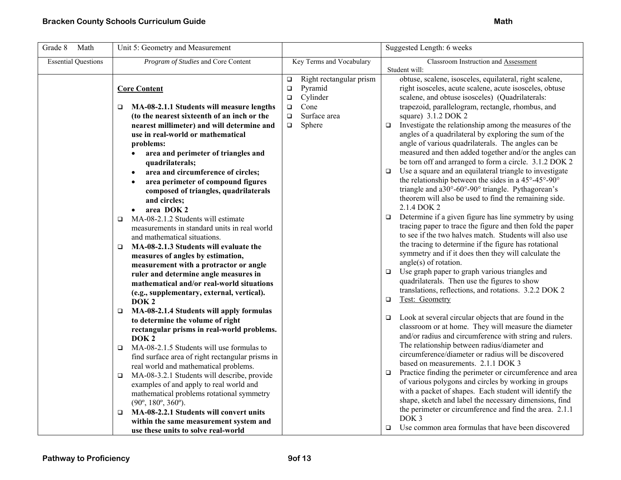| Grade 8<br>Math            | Unit 5: Geometry and Measurement                                                               |                                   | Suggested Length: 6 weeks                                                                                   |
|----------------------------|------------------------------------------------------------------------------------------------|-----------------------------------|-------------------------------------------------------------------------------------------------------------|
| <b>Essential Questions</b> | Program of Studies and Core Content                                                            | Key Terms and Vocabulary          | Classroom Instruction and Assessment                                                                        |
|                            |                                                                                                | Right rectangular prism<br>$\Box$ | Student will:<br>obtuse, scalene, isosceles, equilateral, right scalene,                                    |
|                            | <b>Core Content</b>                                                                            | Pyramid<br>$\Box$                 | right isosceles, acute scalene, acute isosceles, obtuse                                                     |
|                            |                                                                                                | Cylinder<br>$\Box$                | scalene, and obtuse isosceles) (Quadrilaterals:                                                             |
|                            | MA-08-2.1.1 Students will measure lengths<br>o.                                                | Cone<br>$\Box$                    | trapezoid, parallelogram, rectangle, rhombus, and                                                           |
|                            | (to the nearest sixteenth of an inch or the                                                    | Surface area<br>$\Box$            | square) 3.1.2 DOK 2                                                                                         |
|                            | nearest millimeter) and will determine and                                                     | Sphere<br>$\Box$                  | Investigate the relationship among the measures of the<br>$\Box$                                            |
|                            | use in real-world or mathematical<br>problems:                                                 |                                   | angles of a quadrilateral by exploring the sum of the<br>angle of various quadrilaterals. The angles can be |
|                            | area and perimeter of triangles and<br>$\bullet$                                               |                                   | measured and then added together and/or the angles can                                                      |
|                            | quadrilaterals;                                                                                |                                   | be torn off and arranged to form a circle. 3.1.2 DOK 2                                                      |
|                            | area and circumference of circles;<br>$\bullet$                                                |                                   | Use a square and an equilateral triangle to investigate<br>$\Box$                                           |
|                            | area perimeter of compound figures                                                             |                                   | the relationship between the sides in a 45°-45°-90°                                                         |
|                            | composed of triangles, quadrilaterals                                                          |                                   | triangle and a30°-60°-90° triangle. Pythagorean's                                                           |
|                            | and circles;                                                                                   |                                   | theorem will also be used to find the remaining side.                                                       |
|                            | area DOK 2                                                                                     |                                   | 2.1.4 DOK 2<br>Determine if a given figure has line symmetry by using<br>$\Box$                             |
|                            | MA-08-2.1.2 Students will estimate<br>$\Box$                                                   |                                   | tracing paper to trace the figure and then fold the paper                                                   |
|                            | measurements in standard units in real world<br>and mathematical situations.                   |                                   | to see if the two halves match. Students will also use                                                      |
|                            | MA-08-2.1.3 Students will evaluate the<br>$\Box$                                               |                                   | the tracing to determine if the figure has rotational                                                       |
|                            | measures of angles by estimation,                                                              |                                   | symmetry and if it does then they will calculate the                                                        |
|                            | measurement with a protractor or angle                                                         |                                   | $angle(s)$ of rotation.                                                                                     |
|                            | ruler and determine angle measures in                                                          |                                   | Use graph paper to graph various triangles and<br>$\Box$                                                    |
|                            | mathematical and/or real-world situations                                                      |                                   | quadrilaterals. Then use the figures to show<br>translations, reflections, and rotations. 3.2.2 DOK 2       |
|                            | (e.g., supplementary, external, vertical).<br>DOK <sub>2</sub>                                 |                                   | Test: Geometry<br>$\Box$                                                                                    |
|                            | MA-08-2.1.4 Students will apply formulas<br>$\Box$                                             |                                   |                                                                                                             |
|                            | to determine the volume of right                                                               |                                   | Look at several circular objects that are found in the<br>$\Box$                                            |
|                            | rectangular prisms in real-world problems.                                                     |                                   | classroom or at home. They will measure the diameter                                                        |
|                            | DOK <sub>2</sub>                                                                               |                                   | and/or radius and circumference with string and rulers.<br>The relationship between radius/diameter and     |
|                            | MA-08-2.1.5 Students will use formulas to<br>$\Box$                                            |                                   | circumference/diameter or radius will be discovered                                                         |
|                            | find surface area of right rectangular prisms in                                               |                                   | based on measurements. 2.1.1 DOK 3                                                                          |
|                            | real world and mathematical problems.<br>MA-08-3.2.1 Students will describe, provide<br>$\Box$ |                                   | Practice finding the perimeter or circumference and area<br>$\Box$                                          |
|                            | examples of and apply to real world and                                                        |                                   | of various polygons and circles by working in groups                                                        |
|                            | mathematical problems rotational symmetry                                                      |                                   | with a packet of shapes. Each student will identify the                                                     |
|                            | $(90^{\circ}, 180^{\circ}, 360^{\circ})$ .                                                     |                                   | shape, sketch and label the necessary dimensions, find                                                      |
|                            | MA-08-2.2.1 Students will convert units<br>$\Box$                                              |                                   | the perimeter or circumference and find the area. 2.1.1                                                     |
|                            | within the same measurement system and                                                         |                                   | DOK <sub>3</sub><br>$\Box$ Use common area formulas that have been discovered                               |
|                            | use these units to solve real-world                                                            |                                   |                                                                                                             |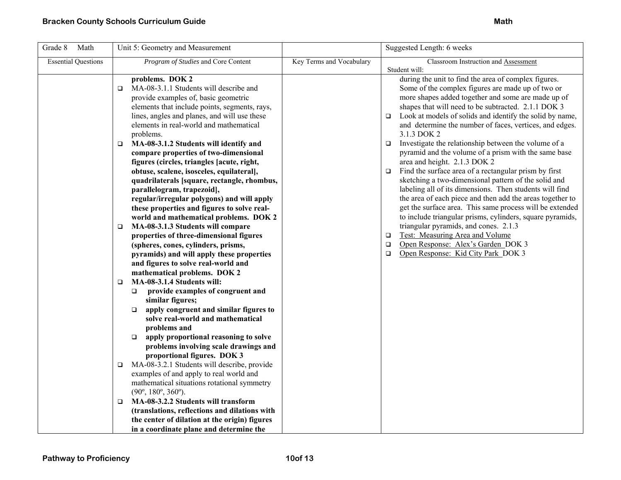| Unit 5: Geometry and Measurement                                                                                                                                                                                                                                                                                                                                                                                                                                                                                                                                                                                                                                                                                                                                                                                                                                                                                                                                                                                                                                                                                                                                                                                                                                                                                                                                                                                                                                                                                                  |                                               | Suggested Length: 6 weeks                                                                                                                                                                                                                                                                                                                                                                                                                                                                                                                                                                                                                                                                                                                                                                                                                                                                                                                                                                                                                                                                                        |
|-----------------------------------------------------------------------------------------------------------------------------------------------------------------------------------------------------------------------------------------------------------------------------------------------------------------------------------------------------------------------------------------------------------------------------------------------------------------------------------------------------------------------------------------------------------------------------------------------------------------------------------------------------------------------------------------------------------------------------------------------------------------------------------------------------------------------------------------------------------------------------------------------------------------------------------------------------------------------------------------------------------------------------------------------------------------------------------------------------------------------------------------------------------------------------------------------------------------------------------------------------------------------------------------------------------------------------------------------------------------------------------------------------------------------------------------------------------------------------------------------------------------------------------|-----------------------------------------------|------------------------------------------------------------------------------------------------------------------------------------------------------------------------------------------------------------------------------------------------------------------------------------------------------------------------------------------------------------------------------------------------------------------------------------------------------------------------------------------------------------------------------------------------------------------------------------------------------------------------------------------------------------------------------------------------------------------------------------------------------------------------------------------------------------------------------------------------------------------------------------------------------------------------------------------------------------------------------------------------------------------------------------------------------------------------------------------------------------------|
| Program of Studies and Core Content                                                                                                                                                                                                                                                                                                                                                                                                                                                                                                                                                                                                                                                                                                                                                                                                                                                                                                                                                                                                                                                                                                                                                                                                                                                                                                                                                                                                                                                                                               | Key Terms and Vocabulary                      | Classroom Instruction and Assessment                                                                                                                                                                                                                                                                                                                                                                                                                                                                                                                                                                                                                                                                                                                                                                                                                                                                                                                                                                                                                                                                             |
| problems. DOK 2<br>MA-08-3.1.1 Students will describe and<br>$\Box$<br>provide examples of, basic geometric<br>elements that include points, segments, rays,<br>lines, angles and planes, and will use these<br>elements in real-world and mathematical<br>problems.<br>MA-08-3.1.2 Students will identify and<br>$\Box$<br>compare properties of two-dimensional<br>figures (circles, triangles [acute, right,<br>obtuse, scalene, isosceles, equilateral],<br>quadrilaterals [square, rectangle, rhombus,<br>parallelogram, trapezoid],<br>regular/irregular polygons) and will apply<br>these properties and figures to solve real-<br>world and mathematical problems. DOK 2<br>MA-08-3.1.3 Students will compare<br>$\Box$<br>properties of three-dimensional figures<br>(spheres, cones, cylinders, prisms,<br>pyramids) and will apply these properties<br>and figures to solve real-world and<br>mathematical problems. DOK 2<br>MA-08-3.1.4 Students will:<br>$\Box$<br>provide examples of congruent and<br>$\Box$<br>similar figures;<br>apply congruent and similar figures to<br>$\Box$<br>solve real-world and mathematical<br>problems and<br>apply proportional reasoning to solve<br>$\Box$<br>problems involving scale drawings and<br>proportional figures. DOK 3<br>MA-08-3.2.1 Students will describe, provide<br>$\Box$<br>examples of and apply to real world and<br>mathematical situations rotational symmetry<br>$(90^{\circ}, 180^{\circ}, 360^{\circ})$ .<br>MA-08-3.2.2 Students will transform<br>□ |                                               | Student will:<br>during the unit to find the area of complex figures.<br>Some of the complex figures are made up of two or<br>more shapes added together and some are made up of<br>shapes that will need to be subtracted. 2.1.1 DOK 3<br>$\Box$ Look at models of solids and identify the solid by name,<br>and determine the number of faces, vertices, and edges.<br>3.1.3 DOK 2<br>Investigate the relationship between the volume of a<br>$\Box$<br>pyramid and the volume of a prism with the same base<br>area and height. 2.1.3 DOK 2<br>Find the surface area of a rectangular prism by first<br>$\Box$<br>sketching a two-dimensional pattern of the solid and<br>labeling all of its dimensions. Then students will find<br>the area of each piece and then add the areas together to<br>get the surface area. This same process will be extended<br>to include triangular prisms, cylinders, square pyramids,<br>triangular pyramids, and cones. 2.1.3<br>Test: Measuring Area and Volume<br>$\Box$<br>Open Response: Alex's Garden DOK 3<br>$\Box$<br>$\Box$<br>Open Response: Kid City Park_DOK 3 |
| the center of dilation at the origin) figures<br>in a coordinate plane and determine the                                                                                                                                                                                                                                                                                                                                                                                                                                                                                                                                                                                                                                                                                                                                                                                                                                                                                                                                                                                                                                                                                                                                                                                                                                                                                                                                                                                                                                          |                                               |                                                                                                                                                                                                                                                                                                                                                                                                                                                                                                                                                                                                                                                                                                                                                                                                                                                                                                                                                                                                                                                                                                                  |
|                                                                                                                                                                                                                                                                                                                                                                                                                                                                                                                                                                                                                                                                                                                                                                                                                                                                                                                                                                                                                                                                                                                                                                                                                                                                                                                                                                                                                                                                                                                                   | (translations, reflections and dilations with |                                                                                                                                                                                                                                                                                                                                                                                                                                                                                                                                                                                                                                                                                                                                                                                                                                                                                                                                                                                                                                                                                                                  |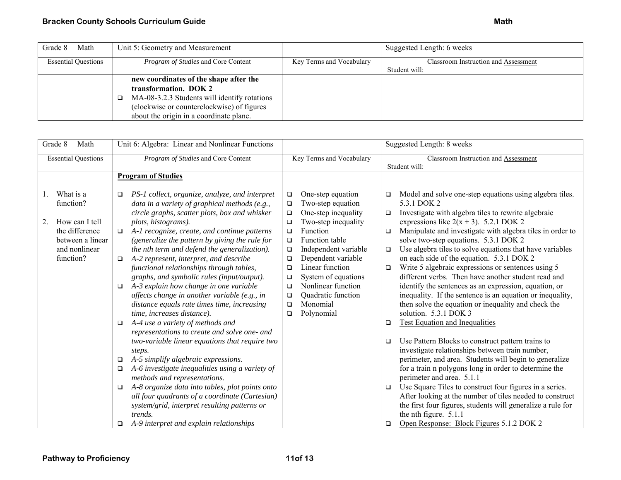| Grade 8<br>Math            | Unit 5: Geometry and Measurement                                                                                                                                                                         |                          | Suggested Length: 6 weeks            |
|----------------------------|----------------------------------------------------------------------------------------------------------------------------------------------------------------------------------------------------------|--------------------------|--------------------------------------|
| <b>Essential Questions</b> | <i>Program of Studies</i> and Core Content                                                                                                                                                               | Key Terms and Vocabulary | Classroom Instruction and Assessment |
|                            |                                                                                                                                                                                                          |                          | Student will:                        |
|                            | new coordinates of the shape after the<br>transformation. DOK 2<br>MA-08-3.2.3 Students will identify rotations<br>(clockwise or counterclockwise) of figures<br>about the origin in a coordinate plane. |                          |                                      |

| Grade 8                                                                                                                  | Math | Unit 6: Algebra: Linear and Nonlinear Functions                                                                                                                                                                                                                                                                                                                                                                                                                                                                                                                                                                                                                                                                                                                                                                                                                                                                                                                                                                                                                                                                                                        |                                                                                                                                                                                                                                                                                                                                                                                                                                     | Suggested Length: 8 weeks                                                                                                                                                                                                                                                                                                                                                                                                                                                                                                                                                                                                                                                                                                                                                                                                                                                                                                                                                                                                                                                                                                                                                                                                                                                                     |
|--------------------------------------------------------------------------------------------------------------------------|------|--------------------------------------------------------------------------------------------------------------------------------------------------------------------------------------------------------------------------------------------------------------------------------------------------------------------------------------------------------------------------------------------------------------------------------------------------------------------------------------------------------------------------------------------------------------------------------------------------------------------------------------------------------------------------------------------------------------------------------------------------------------------------------------------------------------------------------------------------------------------------------------------------------------------------------------------------------------------------------------------------------------------------------------------------------------------------------------------------------------------------------------------------------|-------------------------------------------------------------------------------------------------------------------------------------------------------------------------------------------------------------------------------------------------------------------------------------------------------------------------------------------------------------------------------------------------------------------------------------|-----------------------------------------------------------------------------------------------------------------------------------------------------------------------------------------------------------------------------------------------------------------------------------------------------------------------------------------------------------------------------------------------------------------------------------------------------------------------------------------------------------------------------------------------------------------------------------------------------------------------------------------------------------------------------------------------------------------------------------------------------------------------------------------------------------------------------------------------------------------------------------------------------------------------------------------------------------------------------------------------------------------------------------------------------------------------------------------------------------------------------------------------------------------------------------------------------------------------------------------------------------------------------------------------|
| <b>Essential Questions</b>                                                                                               |      | Program of Studies and Core Content                                                                                                                                                                                                                                                                                                                                                                                                                                                                                                                                                                                                                                                                                                                                                                                                                                                                                                                                                                                                                                                                                                                    | Key Terms and Vocabulary                                                                                                                                                                                                                                                                                                                                                                                                            | Classroom Instruction and Assessment<br>Student will:                                                                                                                                                                                                                                                                                                                                                                                                                                                                                                                                                                                                                                                                                                                                                                                                                                                                                                                                                                                                                                                                                                                                                                                                                                         |
|                                                                                                                          |      | <b>Program of Studies</b>                                                                                                                                                                                                                                                                                                                                                                                                                                                                                                                                                                                                                                                                                                                                                                                                                                                                                                                                                                                                                                                                                                                              |                                                                                                                                                                                                                                                                                                                                                                                                                                     |                                                                                                                                                                                                                                                                                                                                                                                                                                                                                                                                                                                                                                                                                                                                                                                                                                                                                                                                                                                                                                                                                                                                                                                                                                                                                               |
| What is a<br>1.<br>function?<br>2.<br>How can I tell<br>the difference<br>between a linear<br>and nonlinear<br>function? |      | PS-1 collect, organize, analyze, and interpret<br>$\Box$<br>data in a variety of graphical methods (e.g.,<br>circle graphs, scatter plots, box and whisker<br>plots, histograms).<br>A-1 recognize, create, and continue patterns<br>$\Box$<br>(generalize the pattern by giving the rule for<br>the nth term and defend the generalization).<br>A-2 represent, interpret, and describe<br>$\Box$<br>functional relationships through tables,<br>graphs, and symbolic rules (input/output).<br>A-3 explain how change in one variable<br>$\Box$<br>affects change in another variable (e.g., in<br>distance equals rate times time, increasing<br>time, increases distance).<br>A-4 use a variety of methods and<br>$\Box$<br>representations to create and solve one- and<br>two-variable linear equations that require two<br>steps.<br>A-5 simplify algebraic expressions.<br>❏<br>A-6 investigate inequalities using a variety of<br>□<br>methods and representations.<br>A-8 organize data into tables, plot points onto<br>❏<br>all four quadrants of a coordinate (Cartesian)<br>system/grid, interpret resulting patterns or<br><i>trends.</i> | One-step equation<br>$\Box$<br>Two-step equation<br>$\Box$<br>One-step inequality<br>$\Box$<br>Two-step inequality<br>$\Box$<br>Function<br>$\Box$<br><b>Function table</b><br>$\Box$<br>Independent variable<br>$\Box$<br>Dependent variable<br>$\Box$<br>Linear function<br>$\Box$<br>System of equations<br>$\Box$<br>Nonlinear function<br>$\Box$<br>Quadratic function<br>$\Box$<br>Monomial<br>$\Box$<br>Polynomial<br>$\Box$ | Model and solve one-step equations using algebra tiles.<br>$\Box$<br>5.3.1 DOK 2<br>Investigate with algebra tiles to rewrite algebraic<br>$\Box$<br>expressions like $2(x + 3)$ . 5.2.1 DOK 2<br>Manipulate and investigate with algebra tiles in order to<br>□<br>solve two-step equations. 5.3.1 DOK 2<br>Use algebra tiles to solve equations that have variables<br>$\Box$<br>on each side of the equation. 5.3.1 DOK 2<br>Write 5 algebraic expressions or sentences using 5<br>$\Box$<br>different verbs. Then have another student read and<br>identify the sentences as an expression, equation, or<br>inequality. If the sentence is an equation or inequality,<br>then solve the equation or inequality and check the<br>solution. 5.3.1 DOK 3<br><b>Test Equation and Inequalities</b><br>▫<br>Use Pattern Blocks to construct pattern trains to<br>▫<br>investigate relationships between train number,<br>perimeter, and area. Students will begin to generalize<br>for a train n polygons long in order to determine the<br>perimeter and area. 5.1.1<br>Use Square Tiles to construct four figures in a series.<br>$\Box$<br>After looking at the number of tiles needed to construct<br>the first four figures, students will generalize a rule for<br>the nth figure. 5.1.1 |
|                                                                                                                          |      | A-9 interpret and explain relationships<br>□                                                                                                                                                                                                                                                                                                                                                                                                                                                                                                                                                                                                                                                                                                                                                                                                                                                                                                                                                                                                                                                                                                           |                                                                                                                                                                                                                                                                                                                                                                                                                                     | Open Response: Block Figures 5.1.2 DOK 2<br>$\Box$                                                                                                                                                                                                                                                                                                                                                                                                                                                                                                                                                                                                                                                                                                                                                                                                                                                                                                                                                                                                                                                                                                                                                                                                                                            |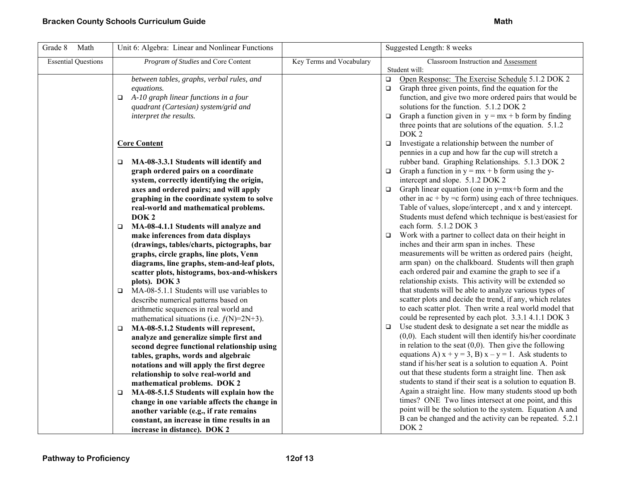| Grade 8<br>Math            | Unit 6: Algebra: Linear and Nonlinear Functions                                         |                          | Suggested Length: 8 weeks                                                                                                |
|----------------------------|-----------------------------------------------------------------------------------------|--------------------------|--------------------------------------------------------------------------------------------------------------------------|
| <b>Essential Questions</b> | Program of Studies and Core Content                                                     | Key Terms and Vocabulary | Classroom Instruction and Assessment                                                                                     |
|                            |                                                                                         |                          | Student will:                                                                                                            |
|                            | between tables, graphs, verbal rules, and                                               |                          | Open Response: The Exercise Schedule 5.1.2 DOK 2<br>$\Box$                                                               |
|                            | equations.                                                                              |                          | Graph three given points, find the equation for the<br>$\Box$<br>function, and give two more ordered pairs that would be |
|                            | A-10 graph linear functions in a four<br>$\Box$<br>quadrant (Cartesian) system/grid and |                          | solutions for the function. 5.1.2 DOK 2                                                                                  |
|                            | interpret the results.                                                                  |                          | Graph a function given in $y = mx + b$ form by finding<br>$\Box$                                                         |
|                            |                                                                                         |                          | three points that are solutions of the equation. 5.1.2                                                                   |
|                            |                                                                                         |                          | DOK <sub>2</sub>                                                                                                         |
|                            | <b>Core Content</b>                                                                     |                          | Investigate a relationship between the number of<br>$\Box$                                                               |
|                            |                                                                                         |                          | pennies in a cup and how far the cup will stretch a                                                                      |
|                            | MA-08-3.3.1 Students will identify and<br>$\Box$                                        |                          | rubber band. Graphing Relationships. 5.1.3 DOK 2                                                                         |
|                            | graph ordered pairs on a coordinate                                                     |                          | $\Box$ Graph a function in y = mx + b form using the y-                                                                  |
|                            | system, correctly identifying the origin,                                               |                          | intercept and slope. 5.1.2 DOK 2                                                                                         |
|                            | axes and ordered pairs; and will apply                                                  |                          | Graph linear equation (one in y=mx+b form and the<br>$\Box$                                                              |
|                            | graphing in the coordinate system to solve                                              |                          | other in $ac + by = c$ form) using each of three techniques.                                                             |
|                            | real-world and mathematical problems.                                                   |                          | Table of values, slope/intercept, and x and y intercept.                                                                 |
|                            | DOK <sub>2</sub>                                                                        |                          | Students must defend which technique is best/easiest for                                                                 |
|                            | MA-08-4.1.1 Students will analyze and<br>$\Box$                                         |                          | each form. 5.1.2 DOK 3                                                                                                   |
|                            | make inferences from data displays                                                      |                          | Work with a partner to collect data on their height in<br>$\Box$                                                         |
|                            | (drawings, tables/charts, pictographs, bar                                              |                          | inches and their arm span in inches. These                                                                               |
|                            | graphs, circle graphs, line plots, Venn                                                 |                          | measurements will be written as ordered pairs (height,                                                                   |
|                            | diagrams, line graphs, stem-and-leaf plots,                                             |                          | arm span) on the chalkboard. Students will then graph                                                                    |
|                            | scatter plots, histograms, box-and-whiskers                                             |                          | each ordered pair and examine the graph to see if a                                                                      |
|                            | plots). DOK 3                                                                           |                          | relationship exists. This activity will be extended so                                                                   |
|                            | MA-08-5.1.1 Students will use variables to<br>$\Box$                                    |                          | that students will be able to analyze various types of                                                                   |
|                            | describe numerical patterns based on                                                    |                          | scatter plots and decide the trend, if any, which relates<br>to each scatter plot. Then write a real world model that    |
|                            | arithmetic sequences in real world and                                                  |                          | could be represented by each plot. 3.3.1 4.1.1 DOK 3                                                                     |
|                            | mathematical situations (i.e. $f(N)=2N+3$ ).<br>MA-08-5.1.2 Students will represent,    |                          | Use student desk to designate a set near the middle as<br>$\Box$                                                         |
|                            | $\Box$<br>analyze and generalize simple first and                                       |                          | $(0,0)$ . Each student will then identify his/her coordinate                                                             |
|                            | second degree functional relationship using                                             |                          | in relation to the seat $(0,0)$ . Then give the following                                                                |
|                            | tables, graphs, words and algebraic                                                     |                          | equations A) $x + y = 3$ , B) $x - y = 1$ . Ask students to                                                              |
|                            | notations and will apply the first degree                                               |                          | stand if his/her seat is a solution to equation A. Point                                                                 |
|                            | relationship to solve real-world and                                                    |                          | out that these students form a straight line. Then ask                                                                   |
|                            | mathematical problems. DOK 2                                                            |                          | students to stand if their seat is a solution to equation B.                                                             |
|                            | MA-08-5.1.5 Students will explain how the<br>□                                          |                          | Again a straight line. How many students stood up both                                                                   |
|                            | change in one variable affects the change in                                            |                          | times? ONE Two lines intersect at one point, and this                                                                    |
|                            | another variable (e.g., if rate remains                                                 |                          | point will be the solution to the system. Equation A and                                                                 |
|                            | constant, an increase in time results in an                                             |                          | B can be changed and the activity can be repeated. 5.2.1                                                                 |
|                            | increase in distance). DOK 2                                                            |                          | DOK <sub>2</sub>                                                                                                         |